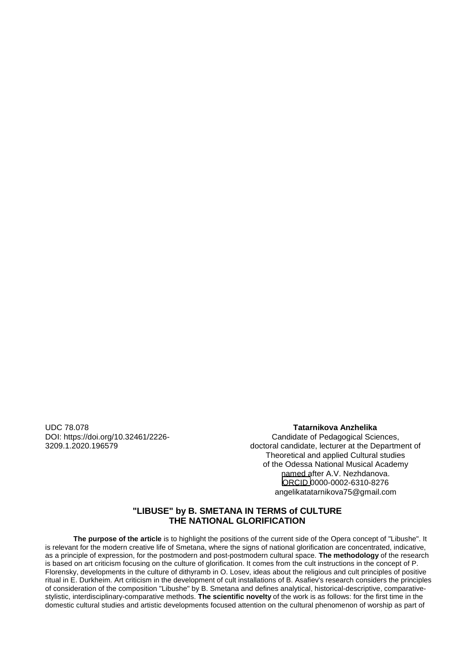UDC 78.078 DOI: https://doi.org/10.32461/2226- 3209.1.2020.196579

# **Tatarnikova Anzhelika ©**

Candidate of Pedagogical Sciences, doctoral candidate, lecturer at the Department of Theoretical and applied Cultural studies of the Odessa National Musical Academy named after A.V. Nezhdanova. ORCID 0000-0002-6310-8276 angelikatatarnikova75@gmail.com

# **"LIBUSE" by B. SMETANA IN TERMS of CULTURE THE NATIONAL GLORIFICATION**

**The purpose of the article** is to highlight the positions of the current side of the Opera concept of "Libushe". It is relevant for the modern creative life of Smetana, where the signs of national glorification are concentrated, indicative, as a principle of expression, for the postmodern and post-postmodern cultural space. **The methodology** of the research is based on art criticism focusing on the culture of glorification. It comes from the cult instructions in the concept of P. Florensky, developments in the culture of dithyramb in O. Losev, ideas about the religious and cult principles of positive ritual in E. Durkheim. Art criticism in the development of cult installations of B. Asafiev's research considers the principles of consideration of the composition "Libushe" by B. Smetana and defines analytical, historical-descriptive, comparativestylistic, interdisciplinary-comparative methods. **The scientific novelty** of the work is as follows: for the first time in the domestic cultural studies and artistic developments focused attention on the cultural phenomenon of worship as part of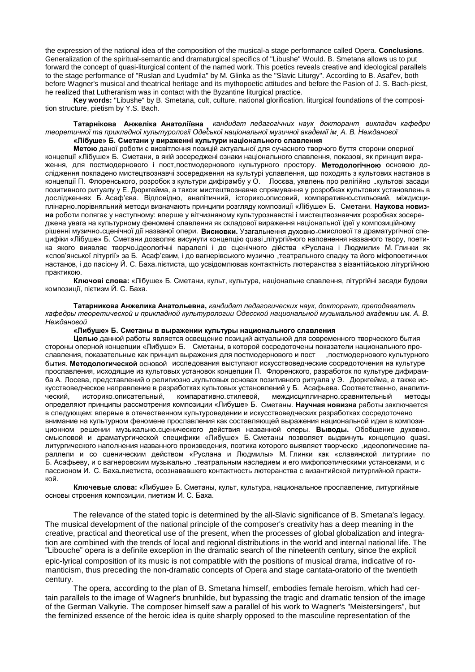the expression of the national idea of the composition of the musical-a stage performance called Opera. **Conclusions**. Generalization of the spiritual-semantic and dramaturgical specifics of "Libushe" Would. B. Smetana allows us to put forward the concept of quasi-liturgical content of the named work. This poetics reveals creative and ideological parallels to the stage performance of "Ruslan and Lyudmila" by M. Glinka as the "Slavic Liturgy". According to B. Asaf'ev, both before Wagner's musical and theatrical heritage and its mythopoetic attitudes and before the Pasion of J. S. Bach-piest, he realized that Lutheranism was in contact with the Byzantine liturgical practice.

**Key words:** "Libushe" by B. Smetana, cult, culture, national glorification, liturgical foundations of the composition structure, pietism by Y.S. Bach.

**Татарнікова Анжеліка Анатоліївна** , *кандидат педагогічних наук*, *докторант*, *викладач кафедри теоретичної та прикладної культурології Одеської національної музичної академії ім*. *А. В. Нежданової* **«Лібуше» Б. Сметани у вираженні культури національного славлення**

**Метою** даної роботи є висвітлення позицій актуальної для сучасного творчого буття сторони оперної концепції «Лібуше» Б. Сметани, в якій зосереджені ознаки національного славлення, показові, як принцип вираження, для постмодернового і пост-постмодернового культурного простору. **Методологічною** основою дослідження покладено мистецтвознавчі зосередження на культурі уславлення, що походять з культових настанов в концепції П. Флоренського, розробок з культури дифірамбу у О. Лосєва, уявлень про релігійно -культові засади позитивного ритуалу у Е. Дюркгейма, а також мистецтвознавче спрямування у розробках культових установлень в дослідженнях Б. Асаф'єва. Відповідно, аналітичний, історико-описовий, компаративно-стильовий, міждисциплінарно-порівняльний методи визначають принципи розгляду композиції «Лібуше» Б. Сметани. **Наукова новизна** роботи полягає у наступному: вперше у вітчизняному культурознавстві і мистецтвознавчих розробках зосереджена увага на культурному феномені славлення як складової вираження національної ідеї у композиційному рішенні музично-сценічної дії названої опери. **Висновки.** Узагальнення духовно-смислової та драматургічної специфіки «Лібуше» Б. Сметани дозволяє висунути концепцію quasi-літургійного наповнення названого твору, поетика якого виявляє творчо<sub>-</sub>ідеологічні паралелі і до сценічного дійства «Руслана і Людмили» М. Глинки як «слов'янської літургії» за Б. Асаф'євим, і до вагнерівського музично -театрального спадку та його міфопоетичних настанов, і до пасіону Й. С. Баха-пієтиста, що усвідомлював контактність лютеранства з візантійською літургійною практикою.

**Ключові слова:** «Лібуше» Б. Сметани, культ, культура, національне славлення, літургійні засади будови композиції, пієтизм Й. С. Баха.

**Татарникова Анжелика Анатольевна,** *кандидат педагогических наук, докторант, преподаватель кафедры теоретической и прикладной культурологии Одесской национальной музыкальной академии им. А. В. Неждановой*

### **«Либуше» Б. Сметаны в выражении культуры национального славления**

**Целью** данной работы является освещение позиций актуальной для современного творческого бытия стороны оперной концепции «Либуше» Б. Сметаны, в которой сосредоточены показатели национального прославления, показательные как принцип выражения для постмодернового и пост -постмодернового культурного бытия. **Методологической** основой исследования выступают искусствоведческие сосредоточения на культуре прославления, исходящие из культовых установок концепции П. Флоренского, разработок по культуре дифирамба А. Лосева, представлений о религиозно -культовых основах позитивного ритуала у Э. Дюркгейма, а также искусствоведческое направление в разработках культовых установлений у Б. Асафьева. Соответственно, аналитический, историко-описательный, компаративно-стилевой, междисциплинарно-сравнительный методы определяют принципы рассмотрения композиции «Либуше» Б. Сметаны. **Научная новизна** работы заключается в следующем: впервые в отечественном культуроведении и искусствоведческих разработках сосредоточено внимание на культурном феномене прославления как составляющей выражения национальной идеи в композиционном решении музыкально-сценического действия названной оперы. **Выводы.** Обобщение духовносмысловой и драматургической специфики «Либуше» Б. Сметаны позволяет выдвинуть концепцию quasiлитургического наполнения названного произведения, поэтика которого выявляет творческо -идеологические параллели и со сценическим действом «Руслана и Людмилы» М. Глинки как «славянской литургии» по Б. Асафьеву, и с вагнеровским музыкально -театральным наследием и его мифопоэтическими установками, и с пассионом И. С. Баха-пиетиста, осознававшего контактность лютеранства с византийской литургийной практикой.

**Ключевые слова:** «Либуше» Б. Сметаны, культ, культура, национальное прославление, литургийные основы строения композиции, пиетизм И. С. Баха.

The relevance of the stated topic is determined by the all-Slavic significance of B. Smetana's legacy. The musical development of the national principle of the composer's creativity has a deep meaning in the creative, practical and theoretical use of the present, when the processes of global globalization and integration are combined with the trends of local and regional distributions in the world and internal national life. The "Libouche" opera is a definite exception in the dramatic search of the nineteenth century, since the explicit epic-lyrical composition of its music is not compatible with the positions of musical drama, indicative of romanticism, thus preceding the non-dramatic concepts of Opera and stage cantata-oratorio of the twentieth century.

The opera, according to the plan of B. Smetana himself, embodies female heroism, which had certain parallels to the image of Wagner's brunhilde, but bypassing the tragic and dramatic tension of the image of the German Valkyrie. The composer himself saw a parallel of his work to Wagner's "Meistersingers", but the feminized essence of the heroic idea is quite sharply opposed to the masculine representation of the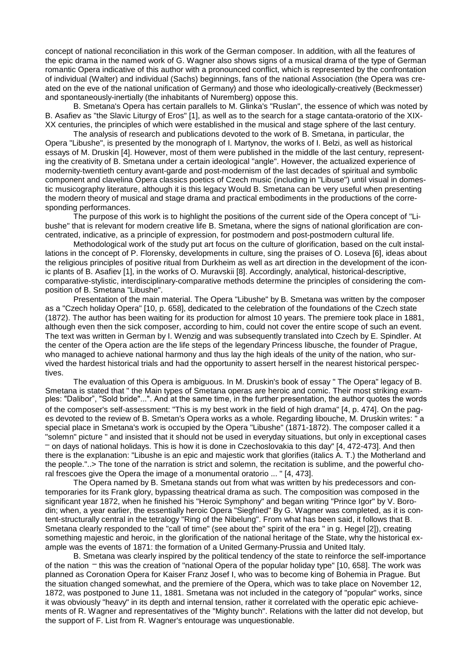concept of national reconciliation in this work of the German composer. In addition, with all the features of the epic drama in the named work of G. Wagner also shows signs of a musical drama of the type of German romantic Opera indicative of this author with a pronounced conflict, which is represented by the confrontation of individual (Walter) and individual (Sachs) beginnings, fans of the national Association (the Opera was created on the eve of the national unification of Germany) and those who ideologically-creatively (Beckmesser) and spontaneously-inertially (the inhabitants of Nuremberg) oppose this.

B. Smetana's Opera has certain parallels to M. Glinka's "Ruslan", the essence of which was noted by B. Asafiev as "the Slavic Liturgy of Eros" [1], as well as to the search for a stage cantata-oratorio of the XIX-XX centuries, the principles of which were established in the musical and stage sphere of the last century.

The analysis of research and publications devoted to the work of B. Smetana, in particular, the Opera "Libushe", is presented by the monograph of I. Martynov, the works of I. Belzi, as well as historical essays of M. Druskin [4]. However, most of them were published in the middle of the last century, representing the creativity of B. Smetana under a certain ideological "angle". However, the actualized experience of modernity-twentieth century avant-garde and post-modernism of the last decades of spiritual and symbolic component and clavelina Opera classics poetics of Czech music (including in "Libuse") until visual in domestic musicography literature, although it is this legacy Would B. Smetana can be very useful when presenting the modern theory of musical and stage drama and practical embodiments in the productions of the corresponding performances.

The purpose of this work is to highlight the positions of the current side of the Opera concept of "Libushe" that is relevant for modern creative life B. Smetana, where the signs of national glorification are concentrated, indicative, as a principle of expression, for postmodern and post-postmodern cultural life.

Methodological work of the study put art focus on the culture of glorification, based on the cult installations in the concept of P. Florensky, developments in culture, sing the praises of O. Loseva [6], ideas about the religious principles of positive ritual from Durkheim as well as art direction in the development of the iconic plants of B. Asafiev [1], in the works of O. Muravskii [8]. Accordingly, analytical, historical-descriptive, comparative-stylistic, interdisciplinary-comparative methods determine the principles of considering the composition of B. Smetana "Libushe".

Presentation of the main material. The Opera "Libushe" by B. Smetana was written by the composer as a "Czech holiday Opera" [10, p. 658], dedicated to the celebration of the foundations of the Czech state (1872). The author has been waiting for its production for almost 10 years. The premiere took place in 1881, although even then the sick composer, according to him, could not cover the entire scope of such an event. The text was written in German by I. Wenzig and was subsequently translated into Czech by E. Spindler. At the center of the Opera action are the life steps of the legendary Princess libusche, the founder of Prague, who managed to achieve national harmony and thus lay the high ideals of the unity of the nation, who survived the hardest historical trials and had the opportunity to assert herself in the nearest historical perspectives.

The evaluation of this Opera is ambiguous. In M. Druskin's book of essay " The Opera" legacy of B. Smetana is stated that " the Main types of Smetana operas are heroic and comic. Their most striking examples: "Dalibor", "Sold bride"...". And at the same time, in the further presentation, the author quotes the words of the composer's self-assessment: "This is my best work in the field of high drama" [4, p. 474]. On the pages devoted to the review of B. Smetan's Opera works as a whole. Regarding libouche, M. Druskin writes: " a special place in Smetana's work is occupied by the Opera "Libushe" (1871-1872). The composer called it a "solemn" picture " and insisted that it should not be used in everyday situations, but only in exceptional cases – on days of national holidays. This is how it is done in Czechoslovakia to this day" [4, 472-473]. And then there is the explanation: "Libushe is an epic and majestic work that glorifies (italics A. T.) the Motherland and the people."..> The tone of the narration is strict and solemn, the recitation is sublime, and the powerful choral frescoes give the Opera the image of a monumental oratorio ... " [4, 473].

The Opera named by B. Smetana stands out from what was written by his predecessors and contemporaries for its Frank glory, bypassing theatrical drama as such. The composition was composed in the significant year 1872, when he finished his "Heroic Symphony" and began writing "Prince Igor" by V. Borodin; when, a year earlier, the essentially heroic Opera "Siegfried" By G. Wagner was completed, as it is content-structurally central in the tetralogy "Ring of the Nibelung". From what has been said, it follows that B. Smetana clearly responded to the "call of time" (see about the" spirit of the era " in g. Hegel [2]), creating something majestic and heroic, in the glorification of the national heritage of the State, why the historical example was the events of 1871: the formation of a United Germany-Prussia and United Italy.

B. Smetana was clearly inspired by the political tendency of the state to reinforce the self-importance of the nation – this was the creation of "national Opera of the popular holiday type" [10, 658]. The work was planned as Coronation Opera for Kaiser Franz Josef I, who was to become king of Bohemia in Prague. But the situation changed somewhat, and the premiere of the Opera, which was to take place on November 12, 1872, was postponed to June 11, 1881. Smetana was not included in the category of "popular" works, since it was obviously "heavy" in its depth and internal tension, rather it correlated with the operatic epic achievements of R. Wagner and representatives of the "Mighty bunch". Relations with the latter did not develop, but the support of F. List from R. Wagner's entourage was unquestionable.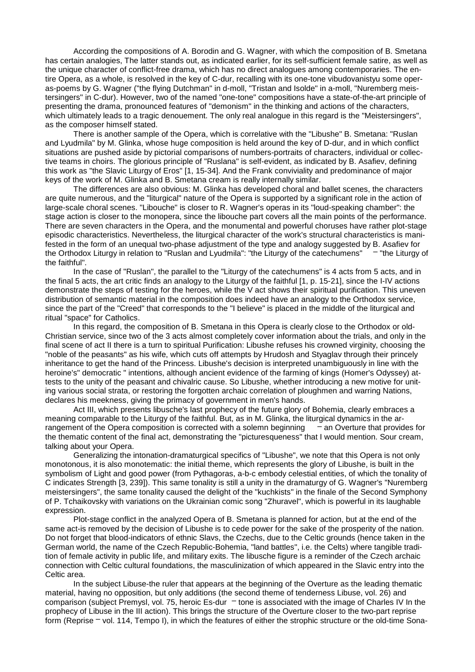According the compositions of A. Borodin and G. Wagner, with which the composition of B. Smetana has certain analogies, The latter stands out, as indicated earlier, for its self-sufficient female satire, as well as the unique character of conflict-free drama, which has no direct analogues among contemporaries. The entire Opera, as a whole, is resolved in the key of C-dur, recalling with its one-tone vibudovanistyu some operas-poems by G. Wagner ("the flying Dutchman" in d-moll, "Tristan and Isolde" in a-moll, "Nuremberg meistersingers" in C-dur). However, two of the named "one-tone" compositions have a state-of-the-art principle of presenting the drama, pronounced features of "demonism" in the thinking and actions of the characters, which ultimately leads to a tragic denouement. The only real analogue in this regard is the "Meistersingers", as the composer himself stated.

There is another sample of the Opera, which is correlative with the "Libushe" B. Smetana: "Ruslan and Lyudmila" by M. Glinka, whose huge composition is held around the key of D-dur, and in which conflict situations are pushed aside by pictorial comparisons of numbers-portraits of characters, individual or collective teams in choirs. The glorious principle of "Ruslana" is self-evident, as indicated by B. Asafiev, defining this work as "the Slavic Liturgy of Eros" [1, 15-34]. And the Frank conviviality and predominance of major keys of the work of M. Glinka and B. Smetana cream is really internally similar.

The differences are also obvious: M. Glinka has developed choral and ballet scenes, the characters are quite numerous, and the "liturgical" nature of the Opera is supported by a significant role in the action of large-scale choral scenes. "Libouche" is closer to R. Wagner's operas in its "loud-speaking chamber": the stage action is closer to the monopera, since the libouche part covers all the main points of the performance. There are seven characters in the Opera, and the monumental and powerful choruses have rather plot-stage episodic characteristics. Nevertheless, the liturgical character of the work's structural characteristics is manifested in the form of an unequal two-phase adjustment of the type and analogy suggested by B. Asafiev for the Orthodox Liturgy in relation to "Ruslan and Lyudmila": "the Liturgy of the catechumens" – "the Liturgy of the faithful".

In the case of "Ruslan", the parallel to the "Liturgy of the catechumens" is 4 acts from 5 acts, and in the final 5 acts, the art critic finds an analogy to the Liturgy of the faithful [1, p. 15-21], since the I-IV actions demonstrate the steps of testing for the heroes, while the V act shows their spiritual purification. This uneven distribution of semantic material in the composition does indeed have an analogy to the Orthodox service, since the part of the "Creed" that corresponds to the "I believe" is placed in the middle of the liturgical and ritual "space" for Catholics.

In this regard, the composition of B. Smetana in this Opera is clearly close to the Orthodox or old-Christian service, since two of the 3 acts almost completely cover information about the trials, and only in the final scene of act II there is a turn to spiritual Purification: Libushe refuses his crowned virginity, choosing the "noble of the peasants" as his wife, which cuts off attempts by Hrudosh and Styaglav through their princely inheritance to get the hand of the Princess. Libushe's decision is interpreted unambiguously in line with the heroine's" democratic " intentions, although ancient evidence of the farming of kings (Homer's Odyssey) attests to the unity of the peasant and chivalric cause. So Libushe, whether introducing a new motive for uniting various social strata, or restoring the forgotten archaic correlation of ploughmen and warring Nations, declares his meekness, giving the primacy of government in men's hands.

Act III, which presents libusche's last prophecy of the future glory of Bohemia, clearly embraces a meaning comparable to the Liturgy of the faithful. But, as in M. Glinka, the liturgical dynamics in the arrangement of the Opera composition is corrected with a solemn beginning  $-\pi$  an Overture that provides for the thematic content of the final act, demonstrating the "picturesqueness" that I would mention. Sour cream, talking about your Opera.

Generalizing the intonation-dramaturgical specifics of "Libushe", we note that this Opera is not only monotonous, it is also monotematic: the initial theme, which represents the glory of Libushe, is built in the symbolism of Light and good power (from Pythagoras, a-b-c embody celestial entities, of which the tonality of C indicates Strength [3, 239]). This same tonality is still a unity in the dramaturgy of G. Wagner's "Nuremberg meistersingers", the same tonality caused the delight of the "kuchkists" in the finale of the Second Symphony of P. Tchaikovsky with variations on the Ukrainian comic song "Zhuravel", which is powerful in its laughable expression.

Plot-stage conflict in the analyzed Opera of B. Smetana is planned for action, but at the end of the same act-is removed by the decision of Libushe is to cede power for the sake of the prosperity of the nation. Do not forget that blood-indicators of ethnic Slavs, the Czechs, due to the Celtic grounds (hence taken in the German world, the name of the Czech Republic-Bohemia, "land battles", i.e. the Celts) where tangible tradition of female activity in public life, and military exits. The libusche figure is a reminder of the Czech archaic connection with Celtic cultural foundations, the masculinization of which appeared in the Slavic entry into the Celtic area.

In the subject Libuse-the ruler that appears at the beginning of the Overture as the leading thematic material, having no opposition, but only additions (the second theme of tenderness Libuse, vol. 26) and comparison (subject Premysl, vol. 75, heroic Es-dur  $-$  tone is associated with the image of Charles IV In the prophecy of Libuse in the III action). This brings the structure of the Overture closer to the two-part reprise form (Reprise – vol. 114, Tempo I), in which the features of either the strophic structure or the old-time Sona-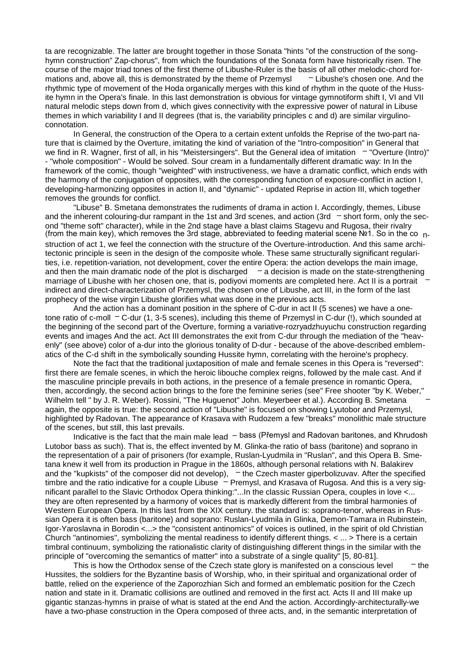ta are recognizable. The latter are brought together in those Sonata "hints "of the construction of the songhymn construction" Zap-chorus", from which the foundations of the Sonata form have historically risen. The course of the major triad tones of the first theme of Libushe-Ruler is the basis of all other melodic-chord formations and, above all, this is demonstrated by the theme of Przemysl  $-$  Libushe's chosen one. And the rhythmic type of movement of the Hoda organically merges with this kind of rhythm in the quote of the Hussite hymn in the Opera's finale. In this last demonstration is obvious for vintage gymnotiform shift I, VI and VII natural melodic steps down from d, which gives connectivity with the expressive power of natural in Libuse themes in which variability I and II degrees (that is, the variability principles c and d) are similar virgulinoconnotation.

In General, the construction of the Opera to a certain extent unfolds the Reprise of the two-part nature that is claimed by the Overture, imitating the kind of variation of the "Intro-composition" in General that we find in R. Wagner, first of all, in his "Meistersingers". But the General idea of imitation - "Overture (Intro)" - "whole composition" - Would be solved. Sour cream in a fundamentally different dramatic way: In In the framework of the comic, though "weighted" with instructiveness, we have a dramatic conflict, which ends with the harmony of the conjugation of opposites, with the corresponding function of exposure-conflict in action I, developing-harmonizing opposites in action II, and "dynamic" - updated Reprise in action III, which together removes the grounds for conflict.

"Libuse" B. Smetana demonstrates the rudiments of drama in action I. Accordingly, themes, Libuse and the inherent colouring-dur rampant in the 1st and 3rd scenes, and action (3rd  $-$  short form, only the second "theme soft" character), while in the 2nd stage have a blast claims Stagevu and Rugosa, their rivalry (from the main key), which removes the 3rd stage, abbreviated to feeding material scene  $N<sup>2</sup>1$ . So in the co nstruction of act 1, we feel the connection with the structure of the Overture-introduction. And this same architectonic principle is seen in the design of the composite whole. These same structurally significant regularities, i.e. repetition-variation, not development, cover the entire Opera: the action develops the main image, and then the main dramatic node of the plot is discharged  $-$  a decision is made on the state-strengthening marriage of Libushe with her chosen one, that is, podiyovi moments are completed here. Act II is a portrait – indirect and direct-characterization of Przemysl, the chosen one of Libushe, act III, in the form of the last prophecy of the wise virgin Libushe glorifies what was done in the previous acts.

And the action has a dominant position in the sphere of C-dur in act II (5 scenes) we have a onetone ratio of c-moll – C-dur (1, 3-5 scenes), including this theme of Przemysl in C-dur (!), which sounded at the beginning of the second part of the Overture, forming a variative-rozryadzhuyuchu construction regarding events and images And the act. Act III demonstrates the exit from C-dur through the mediation of the "heavenly" (see above) color of a-dur into the glorious tonality of D-dur - because of the above-described emblematics of the C-d shift in the symbolically sounding Hussite hymn, correlating with the heroine's prophecy.

Note the fact that the traditional juxtaposition of male and female scenes in this Opera is "reversed": first there are female scenes, in which the heroic libouche complex reigns, followed by the male cast. And if the masculine principle prevails in both actions, in the presence of a female presence in romantic Opera, then, accordingly, the second action brings to the fore the feminine series (see" Free shooter "by K. Weber," Wilhelm tell " by J. R. Weber). Rossini, "The Huguenot" John. Meyerbeer et al.). According B. Smetana – again, the opposite is true: the second action of "Libushe" is focused on showing Lyutobor and Przemysl, highlighted by Radovan. The appearance of Krasava with Rudozem a few "breaks" monolithic male structure of the scenes, but still, this last prevails.

Indicative is the fact that the main male lead – bass (Přemysl and Radovan baritones, and Khrudosh Lutobor bass as such). That is, the effect invented by M. Glinka-the ratio of bass (baritone) and soprano in the representation of a pair of prisoners (for example, Ruslan-Lyudmila in "Ruslan", and this Opera B. Smetana knew it well from its production in Prague in the 1860s, although personal relations with N. Balakirev and the "kupkists" of the composer did not develop),  $-$  the Czech master giperbolizuvav. After the specified timbre and the ratio indicative for a couple Libuse – Premysl, and Krasava of Rugosa. And this is a very significant parallel to the Slavic Orthodox Opera thinking:"...In the classic Russian Opera, couples in love <... they are often represented by a harmony of voices that is markedly different from the timbral harmonies of Western European Opera. In this last from the XIX century. the standard is: soprano-tenor, whereas in Russian Opera it is often bass (baritone) and soprano: Ruslan-Lyudmila in Glinka, Demon-Tamara in Rubinstein, Igor-Yaroslavna in Borodin <...> the "consistent antinomics" of voices is outlined, in the spirit of old Christian Church "antinomies", symbolizing the mental readiness to identify different things. < ... > There is a certain timbral continuum, symbolizing the rationalistic clarity of distinguishing different things in the similar with the principle of "overcoming the semantics of matter" into a substrate of a single quality" [5, 80-81].

This is how the Orthodox sense of the Czech state glory is manifested on a conscious level  $-$  the Hussites, the soldiers for the Byzantine basis of Worship, who, in their spiritual and organizational order of battle, relied on the experience of the Zaporozhian Sich and formed an emblematic position for the Czech nation and state in it. Dramatic collisions are outlined and removed in the first act. Acts II and III make up gigantic stanzas-hymns in praise of what is stated at the end And the action. Accordingly-architecturally-we have a two-phase construction in the Opera composed of three acts, and, in the semantic interpretation of